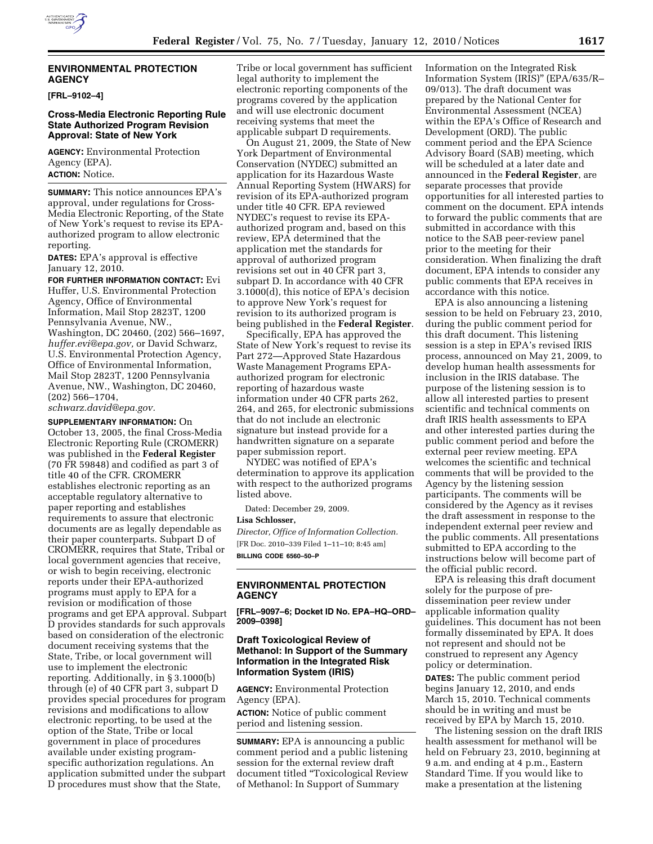## **ENVIRONMENTAL PROTECTION AGENCY**

**[FRL–9102–4]** 

# **Cross-Media Electronic Reporting Rule State Authorized Program Revision Approval: State of New York**

**AGENCY:** Environmental Protection Agency (EPA). **ACTION:** Notice.

**SUMMARY:** This notice announces EPA's approval, under regulations for Cross-Media Electronic Reporting, of the State of New York's request to revise its EPAauthorized program to allow electronic reporting.

**DATES:** EPA's approval is effective January 12, 2010.

**FOR FURTHER INFORMATION CONTACT:** Evi Huffer, U.S. Environmental Protection Agency, Office of Environmental Information, Mail Stop 2823T, 1200 Pennsylvania Avenue, NW., Washington, DC 20460, (202) 566–1697, *huffer.evi@epa.gov,* or David Schwarz, U.S. Environmental Protection Agency, Office of Environmental Information, Mail Stop 2823T, 1200 Pennsylvania Avenue, NW., Washington, DC 20460, (202) 566–1704,

*schwarz.david@epa.gov.* 

**SUPPLEMENTARY INFORMATION:** On

October 13, 2005, the final Cross-Media Electronic Reporting Rule (CROMERR) was published in the **Federal Register**  (70 FR 59848) and codified as part 3 of title 40 of the CFR. CROMERR establishes electronic reporting as an acceptable regulatory alternative to paper reporting and establishes requirements to assure that electronic documents are as legally dependable as their paper counterparts. Subpart D of CROMERR, requires that State, Tribal or local government agencies that receive, or wish to begin receiving, electronic reports under their EPA-authorized programs must apply to EPA for a revision or modification of those programs and get EPA approval. Subpart D provides standards for such approvals based on consideration of the electronic document receiving systems that the State, Tribe, or local government will use to implement the electronic reporting. Additionally, in § 3.1000(b) through (e) of 40 CFR part 3, subpart D provides special procedures for program revisions and modifications to allow electronic reporting, to be used at the option of the State, Tribe or local government in place of procedures available under existing programspecific authorization regulations. An application submitted under the subpart D procedures must show that the State,

Tribe or local government has sufficient legal authority to implement the electronic reporting components of the programs covered by the application and will use electronic document receiving systems that meet the applicable subpart D requirements.

On August 21, 2009, the State of New York Department of Environmental Conservation (NYDEC) submitted an application for its Hazardous Waste Annual Reporting System (HWARS) for revision of its EPA-authorized program under title 40 CFR. EPA reviewed NYDEC's request to revise its EPAauthorized program and, based on this review, EPA determined that the application met the standards for approval of authorized program revisions set out in 40 CFR part 3, subpart D. In accordance with 40 CFR 3.1000(d), this notice of EPA's decision to approve New York's request for revision to its authorized program is being published in the **Federal Register**.

Specifically, EPA has approved the State of New York's request to revise its Part 272—Approved State Hazardous Waste Management Programs EPAauthorized program for electronic reporting of hazardous waste information under 40 CFR parts 262, 264, and 265, for electronic submissions that do not include an electronic signature but instead provide for a handwritten signature on a separate paper submission report.

NYDEC was notified of EPA's determination to approve its application with respect to the authorized programs listed above.

Dated: December 29, 2009.

### **Lisa Schlosser,**

*Director, Office of Information Collection.*  [FR Doc. 2010–339 Filed 1–11–10; 8:45 am] **BILLING CODE 6560–50–P** 

# **ENVIRONMENTAL PROTECTION AGENCY**

**[FRL–9097–6; Docket ID No. EPA–HQ–ORD– 2009–0398]** 

# **Draft Toxicological Review of Methanol: In Support of the Summary Information in the Integrated Risk Information System (IRIS)**

**AGENCY:** Environmental Protection Agency (EPA).

**ACTION:** Notice of public comment period and listening session.

**SUMMARY:** EPA is announcing a public comment period and a public listening session for the external review draft document titled ''Toxicological Review of Methanol: In Support of Summary

Information on the Integrated Risk Information System (IRIS)'' (EPA/635/R– 09/013). The draft document was prepared by the National Center for Environmental Assessment (NCEA) within the EPA's Office of Research and Development (ORD). The public comment period and the EPA Science Advisory Board (SAB) meeting, which will be scheduled at a later date and announced in the **Federal Register**, are separate processes that provide opportunities for all interested parties to comment on the document. EPA intends to forward the public comments that are submitted in accordance with this notice to the SAB peer-review panel prior to the meeting for their consideration. When finalizing the draft document, EPA intends to consider any public comments that EPA receives in accordance with this notice.

EPA is also announcing a listening session to be held on February 23, 2010, during the public comment period for this draft document. This listening session is a step in EPA's revised IRIS process, announced on May 21, 2009, to develop human health assessments for inclusion in the IRIS database. The purpose of the listening session is to allow all interested parties to present scientific and technical comments on draft IRIS health assessments to EPA and other interested parties during the public comment period and before the external peer review meeting. EPA welcomes the scientific and technical comments that will be provided to the Agency by the listening session participants. The comments will be considered by the Agency as it revises the draft assessment in response to the independent external peer review and the public comments. All presentations submitted to EPA according to the instructions below will become part of the official public record.

EPA is releasing this draft document solely for the purpose of predissemination peer review under applicable information quality guidelines. This document has not been formally disseminated by EPA. It does not represent and should not be construed to represent any Agency policy or determination.

**DATES:** The public comment period begins January 12, 2010, and ends March 15, 2010. Technical comments should be in writing and must be received by EPA by March 15, 2010.

The listening session on the draft IRIS health assessment for methanol will be held on February 23, 2010, beginning at 9 a.m. and ending at 4 p.m., Eastern Standard Time. If you would like to make a presentation at the listening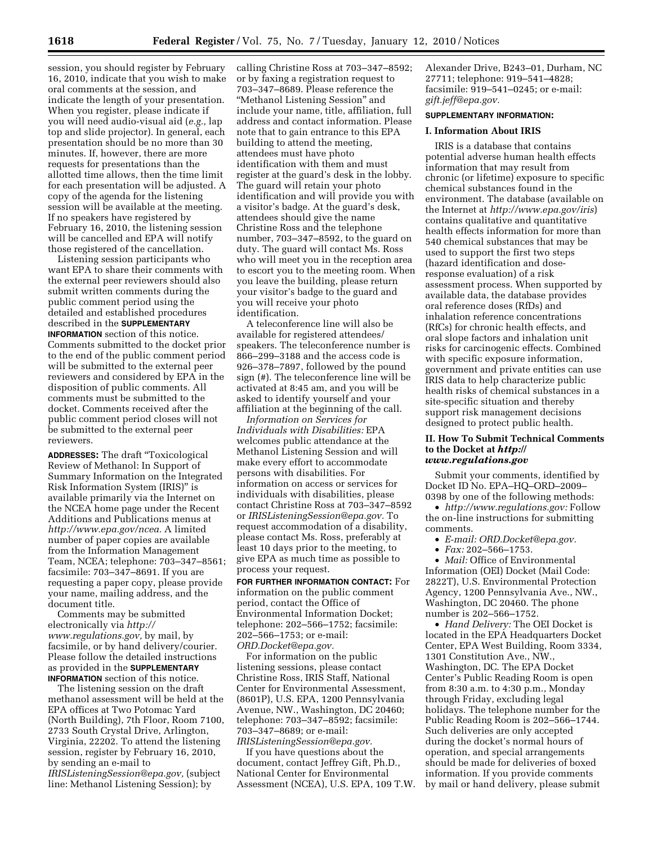session, you should register by February 16, 2010, indicate that you wish to make oral comments at the session, and indicate the length of your presentation. When you register, please indicate if you will need audio-visual aid (*e.g.,* lap top and slide projector). In general, each presentation should be no more than 30 minutes. If, however, there are more requests for presentations than the allotted time allows, then the time limit for each presentation will be adjusted. A copy of the agenda for the listening session will be available at the meeting. If no speakers have registered by February 16, 2010, the listening session will be cancelled and EPA will notify those registered of the cancellation.

Listening session participants who want EPA to share their comments with the external peer reviewers should also submit written comments during the public comment period using the detailed and established procedures described in the **SUPPLEMENTARY INFORMATION** section of this notice. Comments submitted to the docket prior to the end of the public comment period will be submitted to the external peer reviewers and considered by EPA in the disposition of public comments. All comments must be submitted to the docket. Comments received after the public comment period closes will not be submitted to the external peer reviewers.

**ADDRESSES:** The draft ''Toxicological Review of Methanol: In Support of Summary Information on the Integrated Risk Information System (IRIS)'' is available primarily via the Internet on the NCEA home page under the Recent Additions and Publications menus at *http://www.epa.gov/ncea.* A limited number of paper copies are available from the Information Management Team, NCEA; telephone: 703–347–8561; facsimile: 703–347–8691. If you are requesting a paper copy, please provide your name, mailing address, and the document title.

Comments may be submitted electronically via *http:// www.regulations.gov,* by mail, by facsimile, or by hand delivery/courier. Please follow the detailed instructions as provided in the **SUPPLEMENTARY INFORMATION** section of this notice.

The listening session on the draft methanol assessment will be held at the EPA offices at Two Potomac Yard (North Building), 7th Floor, Room 7100, 2733 South Crystal Drive, Arlington, Virginia, 22202. To attend the listening session, register by February 16, 2010, by sending an e-mail to *IRISListeningSession@epa.gov,* (subject line: Methanol Listening Session); by

calling Christine Ross at 703–347–8592; or by faxing a registration request to 703–347–8689. Please reference the ''Methanol Listening Session'' and include your name, title, affiliation, full address and contact information. Please note that to gain entrance to this EPA building to attend the meeting, attendees must have photo identification with them and must register at the guard's desk in the lobby. The guard will retain your photo identification and will provide you with a visitor's badge. At the guard's desk, attendees should give the name Christine Ross and the telephone number, 703–347–8592, to the guard on duty. The guard will contact Ms. Ross who will meet you in the reception area to escort you to the meeting room. When you leave the building, please return your visitor's badge to the guard and you will receive your photo identification.

A teleconference line will also be available for registered attendees/ speakers. The teleconference number is 866–299–3188 and the access code is 926–378–7897, followed by the pound sign (#). The teleconference line will be activated at 8:45 am, and you will be asked to identify yourself and your affiliation at the beginning of the call.

*Information on Services for Individuals with Disabilities:* EPA welcomes public attendance at the Methanol Listening Session and will make every effort to accommodate persons with disabilities. For information on access or services for individuals with disabilities, please contact Christine Ross at 703–347–8592 or *IRISListeningSession@epa.gov.* To request accommodation of a disability, please contact Ms. Ross, preferably at least 10 days prior to the meeting, to give EPA as much time as possible to process your request.

**FOR FURTHER INFORMATION CONTACT:** For information on the public comment period, contact the Office of Environmental Information Docket; telephone: 202–566–1752; facsimile: 202–566–1753; or e-mail: *ORD.Docket@epa.gov.* 

For information on the public listening sessions, please contact Christine Ross, IRIS Staff, National Center for Environmental Assessment, (8601P), U.S. EPA, 1200 Pennsylvania Avenue, NW., Washington, DC 20460; telephone: 703–347–8592; facsimile: 703–347–8689; or e-mail: *IRISListeningSession@epa.gov.* 

If you have questions about the document, contact Jeffrey Gift, Ph.D., National Center for Environmental Assessment (NCEA), U.S. EPA, 109 T.W. Alexander Drive, B243–01, Durham, NC 27711; telephone: 919–541–4828; facsimile: 919–541–0245; or e-mail: *gift.jeff@epa.gov.* 

## **SUPPLEMENTARY INFORMATION:**

### **I. Information About IRIS**

IRIS is a database that contains potential adverse human health effects information that may result from chronic (or lifetime) exposure to specific chemical substances found in the environment. The database (available on the Internet at *http://www.epa.gov/iris*) contains qualitative and quantitative health effects information for more than 540 chemical substances that may be used to support the first two steps (hazard identification and doseresponse evaluation) of a risk assessment process. When supported by available data, the database provides oral reference doses (RfDs) and inhalation reference concentrations (RfCs) for chronic health effects, and oral slope factors and inhalation unit risks for carcinogenic effects. Combined with specific exposure information, government and private entities can use IRIS data to help characterize public health risks of chemical substances in a site-specific situation and thereby support risk management decisions designed to protect public health.

## **II. How To Submit Technical Comments to the Docket at** *http:// www.regulations.gov*

Submit your comments, identified by Docket ID No. EPA–HQ–ORD–2009– 0398 by one of the following methods:

• *http://www.regulations.gov:* Follow the on-line instructions for submitting comments.

- *E-mail: ORD.Docket@epa.gov.*
- *Fax:* 202–566–1753.

• *Mail:* Office of Environmental Information (OEI) Docket (Mail Code: 2822T), U.S. Environmental Protection Agency, 1200 Pennsylvania Ave., NW., Washington, DC 20460. The phone number is 202–566–1752.

• *Hand Delivery:* The OEI Docket is located in the EPA Headquarters Docket Center, EPA West Building, Room 3334, 1301 Constitution Ave., NW., Washington, DC. The EPA Docket Center's Public Reading Room is open from 8:30 a.m. to 4:30 p.m., Monday through Friday, excluding legal holidays. The telephone number for the Public Reading Room is 202–566–1744. Such deliveries are only accepted during the docket's normal hours of operation, and special arrangements should be made for deliveries of boxed information. If you provide comments by mail or hand delivery, please submit